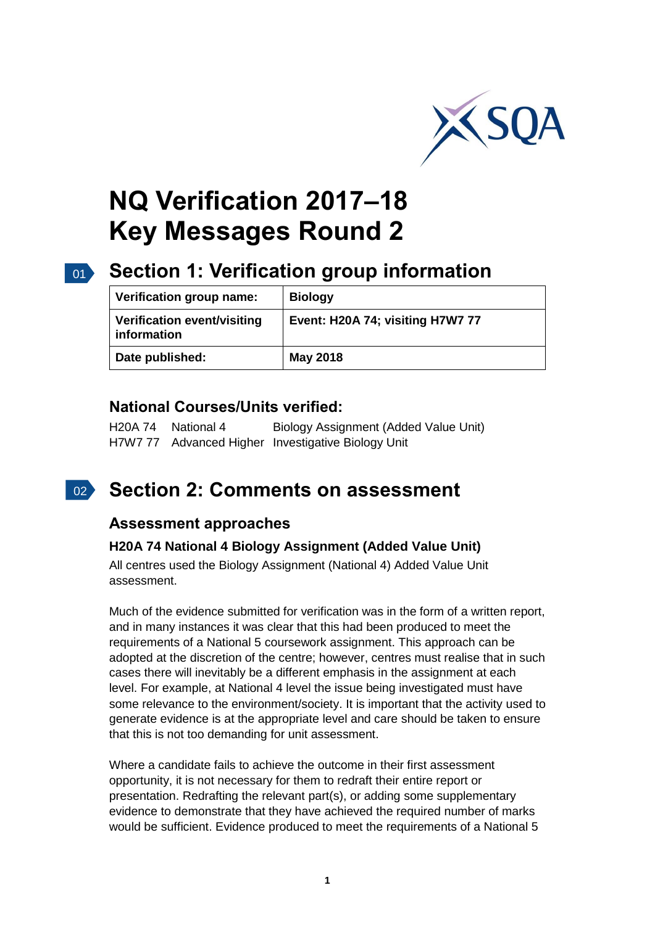

# **NQ Verification 2017–18 Key Messages Round 2**

## 01 **Section 1: Verification group information**

| Verification group name:                   | <b>Biology</b>                   |
|--------------------------------------------|----------------------------------|
| Verification event/visiting<br>information | Event: H20A 74; visiting H7W7 77 |
| Date published:                            | <b>May 2018</b>                  |

### **National Courses/Units verified:**

H20A 74 National 4 Biology Assignment (Added Value Unit) H7W7 77 Advanced Higher Investigative Biology Unit

#### $02<sup>2</sup>$ **Section 2: Comments on assessment**

### **Assessment approaches**

#### **H20A 74 National 4 Biology Assignment (Added Value Unit)**

All centres used the Biology Assignment (National 4) Added Value Unit assessment.

Much of the evidence submitted for verification was in the form of a written report, and in many instances it was clear that this had been produced to meet the requirements of a National 5 coursework assignment. This approach can be adopted at the discretion of the centre; however, centres must realise that in such cases there will inevitably be a different emphasis in the assignment at each level. For example, at National 4 level the issue being investigated must have some relevance to the environment/society. It is important that the activity used to generate evidence is at the appropriate level and care should be taken to ensure that this is not too demanding for unit assessment.

Where a candidate fails to achieve the outcome in their first assessment opportunity, it is not necessary for them to redraft their entire report or presentation. Redrafting the relevant part(s), or adding some supplementary evidence to demonstrate that they have achieved the required number of marks would be sufficient. Evidence produced to meet the requirements of a National 5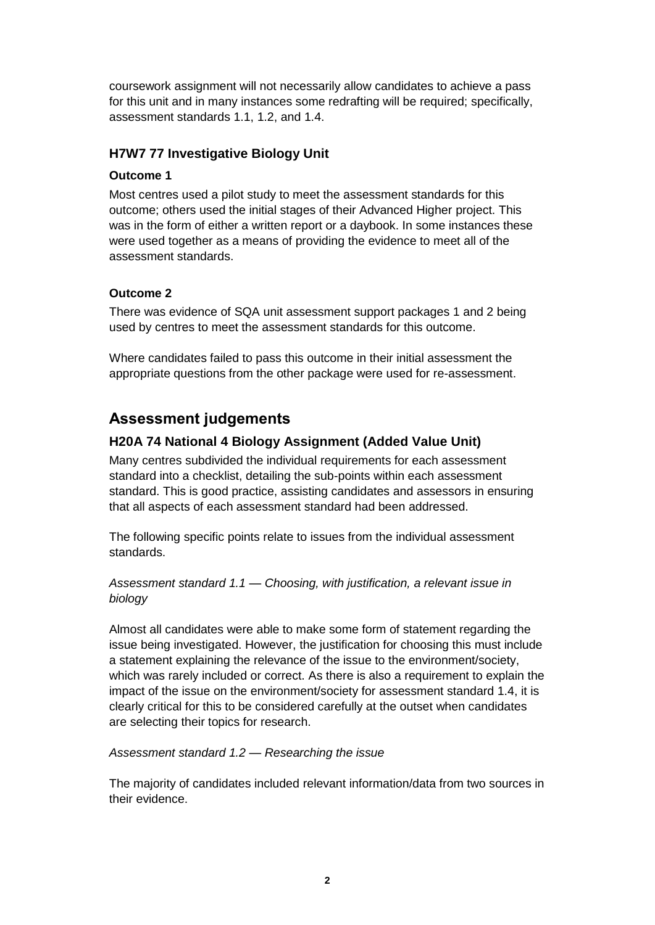coursework assignment will not necessarily allow candidates to achieve a pass for this unit and in many instances some redrafting will be required; specifically, assessment standards 1.1, 1.2, and 1.4.

#### **H7W7 77 Investigative Biology Unit**

#### **Outcome 1**

Most centres used a pilot study to meet the assessment standards for this outcome; others used the initial stages of their Advanced Higher project. This was in the form of either a written report or a daybook. In some instances these were used together as a means of providing the evidence to meet all of the assessment standards.

#### **Outcome 2**

There was evidence of SQA unit assessment support packages 1 and 2 being used by centres to meet the assessment standards for this outcome.

Where candidates failed to pass this outcome in their initial assessment the appropriate questions from the other package were used for re-assessment.

### **Assessment judgements**

#### **H20A 74 National 4 Biology Assignment (Added Value Unit)**

Many centres subdivided the individual requirements for each assessment standard into a checklist, detailing the sub-points within each assessment standard. This is good practice, assisting candidates and assessors in ensuring that all aspects of each assessment standard had been addressed.

The following specific points relate to issues from the individual assessment standards.

*Assessment standard 1.1 — Choosing, with justification, a relevant issue in biology*

Almost all candidates were able to make some form of statement regarding the issue being investigated. However, the justification for choosing this must include a statement explaining the relevance of the issue to the environment/society, which was rarely included or correct. As there is also a requirement to explain the impact of the issue on the environment/society for assessment standard 1.4, it is clearly critical for this to be considered carefully at the outset when candidates are selecting their topics for research.

*Assessment standard 1.2 — Researching the issue*

The majority of candidates included relevant information/data from two sources in their evidence.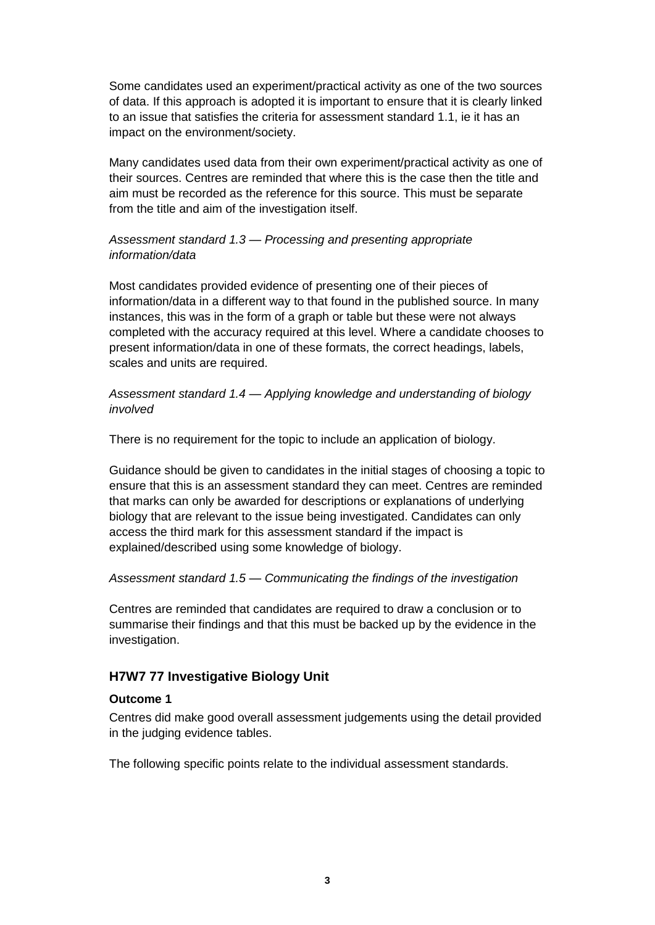Some candidates used an experiment/practical activity as one of the two sources of data. If this approach is adopted it is important to ensure that it is clearly linked to an issue that satisfies the criteria for assessment standard 1.1, ie it has an impact on the environment/society.

Many candidates used data from their own experiment/practical activity as one of their sources. Centres are reminded that where this is the case then the title and aim must be recorded as the reference for this source. This must be separate from the title and aim of the investigation itself.

#### *Assessment standard 1.3 — Processing and presenting appropriate information/data*

Most candidates provided evidence of presenting one of their pieces of information/data in a different way to that found in the published source. In many instances, this was in the form of a graph or table but these were not always completed with the accuracy required at this level. Where a candidate chooses to present information/data in one of these formats, the correct headings, labels, scales and units are required.

#### *Assessment standard 1.4 — Applying knowledge and understanding of biology involved*

There is no requirement for the topic to include an application of biology.

Guidance should be given to candidates in the initial stages of choosing a topic to ensure that this is an assessment standard they can meet. Centres are reminded that marks can only be awarded for descriptions or explanations of underlying biology that are relevant to the issue being investigated. Candidates can only access the third mark for this assessment standard if the impact is explained/described using some knowledge of biology.

#### *Assessment standard 1.5 — Communicating the findings of the investigation*

Centres are reminded that candidates are required to draw a conclusion or to summarise their findings and that this must be backed up by the evidence in the investigation.

#### **H7W7 77 Investigative Biology Unit**

#### **Outcome 1**

Centres did make good overall assessment judgements using the detail provided in the judging evidence tables.

The following specific points relate to the individual assessment standards.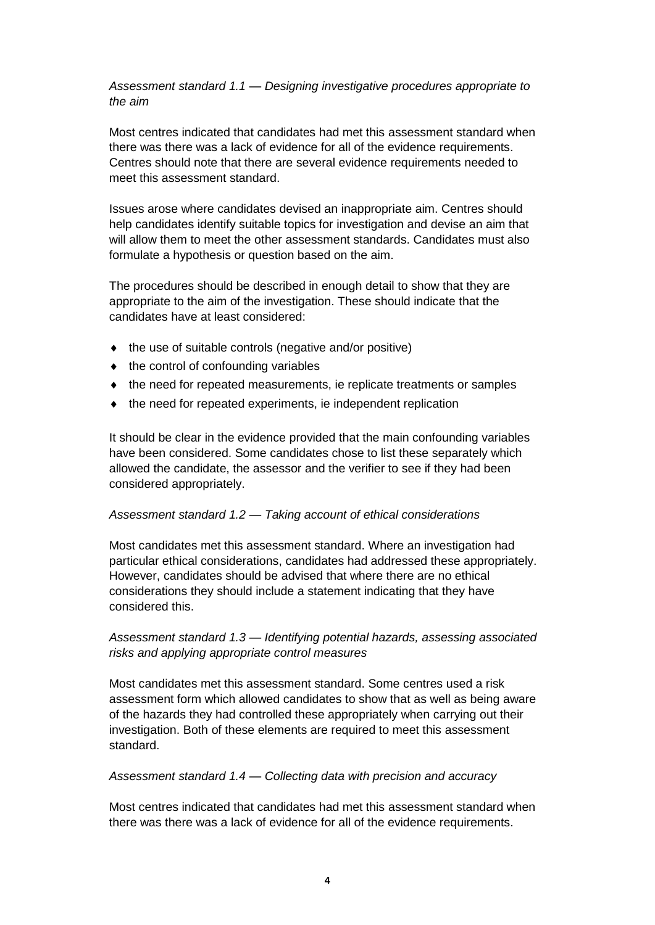#### *Assessment standard 1.1 — Designing investigative procedures appropriate to the aim*

Most centres indicated that candidates had met this assessment standard when there was there was a lack of evidence for all of the evidence requirements. Centres should note that there are several evidence requirements needed to meet this assessment standard.

Issues arose where candidates devised an inappropriate aim. Centres should help candidates identify suitable topics for investigation and devise an aim that will allow them to meet the other assessment standards. Candidates must also formulate a hypothesis or question based on the aim.

The procedures should be described in enough detail to show that they are appropriate to the aim of the investigation. These should indicate that the candidates have at least considered:

- $\bullet$  the use of suitable controls (negative and/or positive)
- $\bullet$  the control of confounding variables
- $\bullet$  the need for repeated measurements, ie replicate treatments or samples
- $\bullet$  the need for repeated experiments, ie independent replication

It should be clear in the evidence provided that the main confounding variables have been considered. Some candidates chose to list these separately which allowed the candidate, the assessor and the verifier to see if they had been considered appropriately.

#### *Assessment standard 1.2 — Taking account of ethical considerations*

Most candidates met this assessment standard. Where an investigation had particular ethical considerations, candidates had addressed these appropriately. However, candidates should be advised that where there are no ethical considerations they should include a statement indicating that they have considered this.

#### *Assessment standard 1.3 — Identifying potential hazards, assessing associated risks and applying appropriate control measures*

Most candidates met this assessment standard. Some centres used a risk assessment form which allowed candidates to show that as well as being aware of the hazards they had controlled these appropriately when carrying out their investigation. Both of these elements are required to meet this assessment standard.

#### *Assessment standard 1.4 — Collecting data with precision and accuracy*

Most centres indicated that candidates had met this assessment standard when there was there was a lack of evidence for all of the evidence requirements.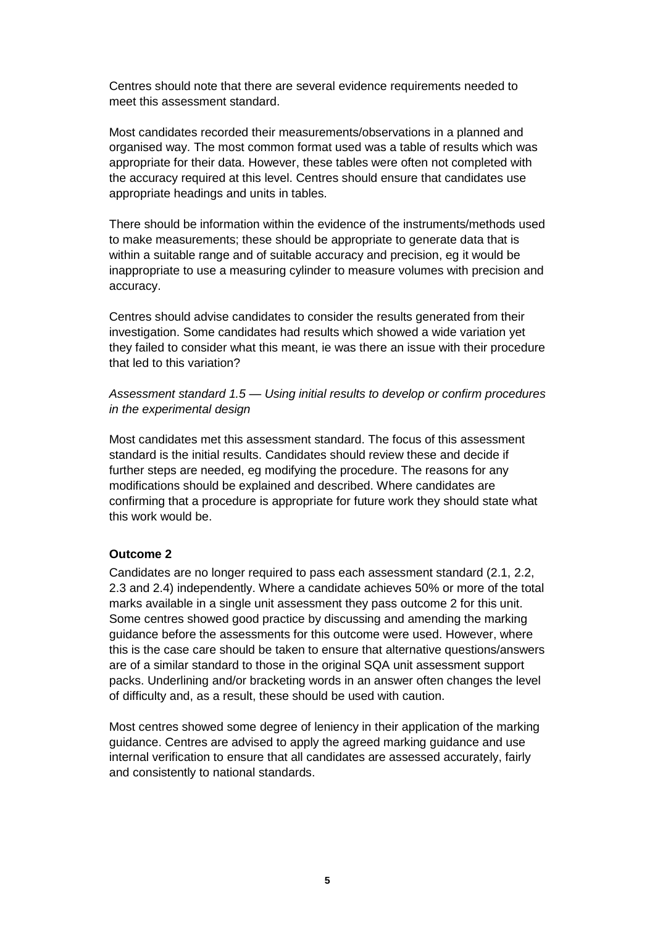Centres should note that there are several evidence requirements needed to meet this assessment standard.

Most candidates recorded their measurements/observations in a planned and organised way. The most common format used was a table of results which was appropriate for their data. However, these tables were often not completed with the accuracy required at this level. Centres should ensure that candidates use appropriate headings and units in tables.

There should be information within the evidence of the instruments/methods used to make measurements; these should be appropriate to generate data that is within a suitable range and of suitable accuracy and precision, eg it would be inappropriate to use a measuring cylinder to measure volumes with precision and accuracy.

Centres should advise candidates to consider the results generated from their investigation. Some candidates had results which showed a wide variation yet they failed to consider what this meant, ie was there an issue with their procedure that led to this variation?

*Assessment standard 1.5 — Using initial results to develop or confirm procedures in the experimental design*

Most candidates met this assessment standard. The focus of this assessment standard is the initial results. Candidates should review these and decide if further steps are needed, eg modifying the procedure. The reasons for any modifications should be explained and described. Where candidates are confirming that a procedure is appropriate for future work they should state what this work would be.

#### **Outcome 2**

Candidates are no longer required to pass each assessment standard (2.1, 2.2, 2.3 and 2.4) independently. Where a candidate achieves 50% or more of the total marks available in a single unit assessment they pass outcome 2 for this unit. Some centres showed good practice by discussing and amending the marking guidance before the assessments for this outcome were used. However, where this is the case care should be taken to ensure that alternative questions/answers are of a similar standard to those in the original SQA unit assessment support packs. Underlining and/or bracketing words in an answer often changes the level of difficulty and, as a result, these should be used with caution.

Most centres showed some degree of leniency in their application of the marking guidance. Centres are advised to apply the agreed marking guidance and use internal verification to ensure that all candidates are assessed accurately, fairly and consistently to national standards.